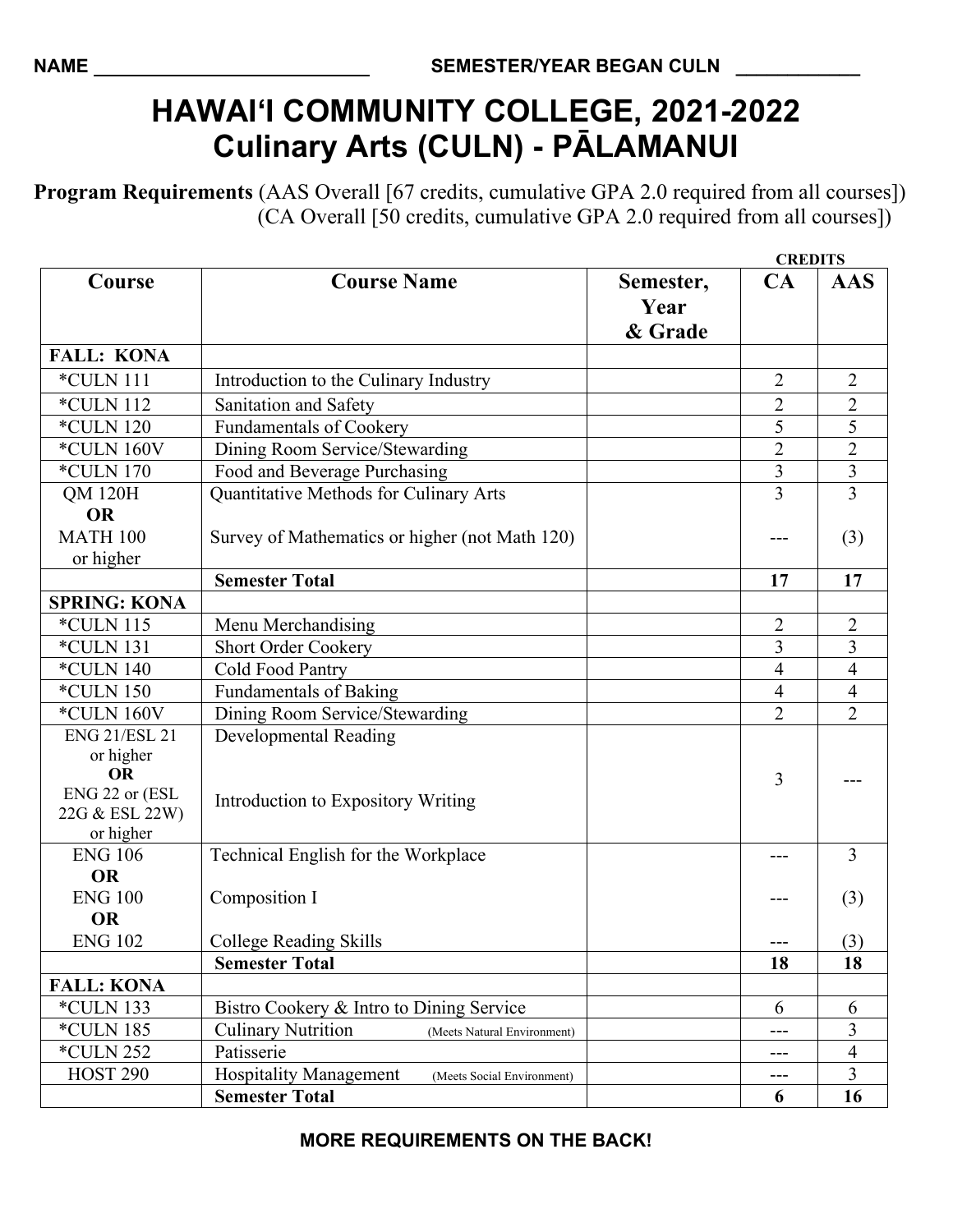## **HAWAI'I COMMUNITY COLLEGE, 2021-2022 Culinary Arts (CULN) - PĀLAMANUI**

**Program Requirements** (AAS Overall [67 credits, cumulative GPA 2.0 required from all courses]) (CA Overall [50 credits, cumulative GPA 2.0 required from all courses])

|                                                            |                                                             |                              |                | <b>CREDITS</b>          |  |
|------------------------------------------------------------|-------------------------------------------------------------|------------------------------|----------------|-------------------------|--|
| Course                                                     | <b>Course Name</b>                                          | Semester,<br>Year<br>& Grade | CA             | <b>AAS</b>              |  |
| <b>FALL: KONA</b>                                          |                                                             |                              |                |                         |  |
| *CULN 111                                                  | Introduction to the Culinary Industry                       |                              | $\overline{2}$ | $\overline{2}$          |  |
| <b>*CULN 112</b>                                           | Sanitation and Safety                                       |                              | $\overline{2}$ | $\sqrt{2}$              |  |
| <b>*CULN 120</b>                                           | <b>Fundamentals of Cookery</b>                              |                              | 5              | 5                       |  |
| *CULN 160V                                                 | Dining Room Service/Stewarding                              |                              | $\overline{2}$ | $\overline{2}$          |  |
| <i>*CULN 170</i>                                           | Food and Beverage Purchasing                                |                              | $\overline{3}$ | $\overline{\mathbf{3}}$ |  |
| <b>QM 120H</b>                                             | Quantitative Methods for Culinary Arts                      |                              | 3              | $\overline{3}$          |  |
| <b>OR</b>                                                  |                                                             |                              |                |                         |  |
| <b>MATH 100</b>                                            | Survey of Mathematics or higher (not Math 120)              |                              |                | (3)                     |  |
| or higher                                                  |                                                             |                              |                |                         |  |
|                                                            | <b>Semester Total</b>                                       |                              | 17             | 17                      |  |
| <b>SPRING: KONA</b>                                        |                                                             |                              |                |                         |  |
| *CULN 115                                                  | Menu Merchandising                                          |                              | $\overline{2}$ | $\overline{2}$          |  |
| *CULN 131                                                  | <b>Short Order Cookery</b>                                  |                              | $\overline{3}$ | 3                       |  |
| <b>*CULN 140</b>                                           | Cold Food Pantry                                            |                              | $\overline{4}$ | $\overline{4}$          |  |
| <i>*CULN 150</i>                                           | <b>Fundamentals of Baking</b>                               |                              | $\overline{4}$ | 4                       |  |
| *CULN 160V                                                 | Dining Room Service/Stewarding                              |                              | $\overline{2}$ | $\overline{2}$          |  |
| <b>ENG 21/ESL 21</b>                                       | <b>Developmental Reading</b>                                |                              |                |                         |  |
| or higher<br><b>OR</b><br>ENG 22 or (ESL<br>22G & ESL 22W) | Introduction to Expository Writing                          |                              | 3              |                         |  |
| or higher                                                  |                                                             |                              |                |                         |  |
| <b>ENG 106</b>                                             | Technical English for the Workplace                         |                              | ---            | $\overline{3}$          |  |
| <b>OR</b>                                                  |                                                             |                              |                |                         |  |
| <b>ENG 100</b>                                             | Composition I                                               |                              |                | (3)                     |  |
| <b>OR</b>                                                  |                                                             |                              |                |                         |  |
| <b>ENG 102</b>                                             | College Reading Skills                                      |                              |                | (3)                     |  |
|                                                            | <b>Semester Total</b>                                       |                              | 18             | 18                      |  |
| <b>FALL: KONA</b>                                          |                                                             |                              |                |                         |  |
| *CULN 133                                                  | Bistro Cookery & Intro to Dining Service                    |                              | 6              | 6                       |  |
| <i>*CULN 185</i>                                           | <b>Culinary Nutrition</b><br>(Meets Natural Environment)    |                              | ---            | 3                       |  |
| <i>*CULN 252</i>                                           | Patisserie                                                  |                              | ---            | $\overline{4}$          |  |
| <b>HOST 290</b>                                            | <b>Hospitality Management</b><br>(Meets Social Environment) |                              | $---$          | $\overline{3}$          |  |
|                                                            | <b>Semester Total</b>                                       |                              | 6              | 16                      |  |